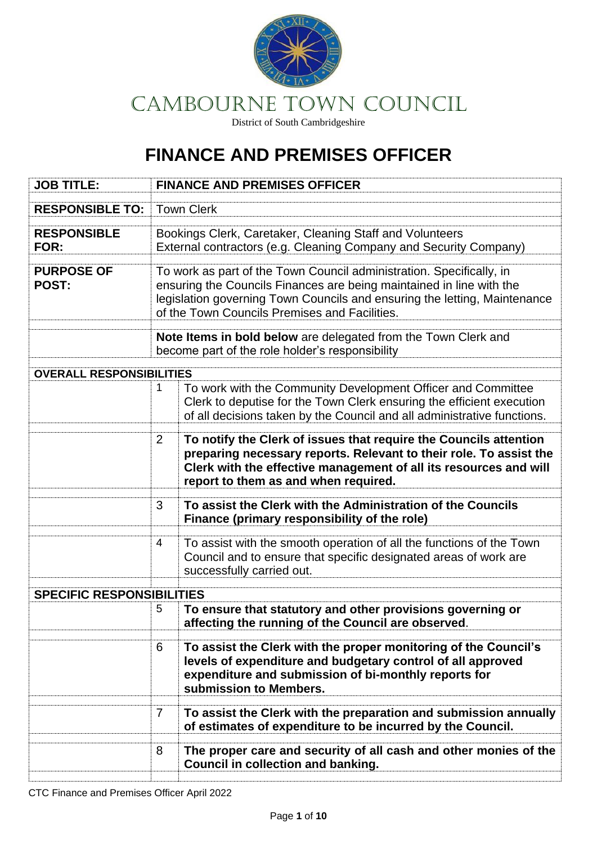

# CAMBOURNE Town COUNCIL

District of South Cambridgeshire

## **FINANCE AND PREMISES OFFICER**

| <b>JOB TITLE:</b>                 |                                                                                                                                                                                                                                                                            | <b>FINANCE AND PREMISES OFFICER</b>                                                                                                                                                                                                                  |
|-----------------------------------|----------------------------------------------------------------------------------------------------------------------------------------------------------------------------------------------------------------------------------------------------------------------------|------------------------------------------------------------------------------------------------------------------------------------------------------------------------------------------------------------------------------------------------------|
| <b>RESPONSIBLE TO:</b>            |                                                                                                                                                                                                                                                                            | <b>Town Clerk</b>                                                                                                                                                                                                                                    |
| <b>RESPONSIBLE</b><br>FOR:        | Bookings Clerk, Caretaker, Cleaning Staff and Volunteers<br>External contractors (e.g. Cleaning Company and Security Company)                                                                                                                                              |                                                                                                                                                                                                                                                      |
| <b>PURPOSE OF</b><br><b>POST:</b> | To work as part of the Town Council administration. Specifically, in<br>ensuring the Councils Finances are being maintained in line with the<br>legislation governing Town Councils and ensuring the letting, Maintenance<br>of the Town Councils Premises and Facilities. |                                                                                                                                                                                                                                                      |
|                                   |                                                                                                                                                                                                                                                                            | Note Items in bold below are delegated from the Town Clerk and<br>become part of the role holder's responsibility                                                                                                                                    |
| <b>OVERALL RESPONSIBILITIES</b>   |                                                                                                                                                                                                                                                                            |                                                                                                                                                                                                                                                      |
|                                   | 1                                                                                                                                                                                                                                                                          | To work with the Community Development Officer and Committee<br>Clerk to deputise for the Town Clerk ensuring the efficient execution<br>of all decisions taken by the Council and all administrative functions.                                     |
|                                   | 2                                                                                                                                                                                                                                                                          | To notify the Clerk of issues that require the Councils attention<br>preparing necessary reports. Relevant to their role. To assist the<br>Clerk with the effective management of all its resources and will<br>report to them as and when required. |
|                                   | 3                                                                                                                                                                                                                                                                          | To assist the Clerk with the Administration of the Councils<br>Finance (primary responsibility of the role)                                                                                                                                          |
|                                   | 4                                                                                                                                                                                                                                                                          | To assist with the smooth operation of all the functions of the Town<br>Council and to ensure that specific designated areas of work are<br>successfully carried out.                                                                                |
| <b>SPECIFIC RESPONSIBILITIES</b>  |                                                                                                                                                                                                                                                                            |                                                                                                                                                                                                                                                      |
|                                   | 5                                                                                                                                                                                                                                                                          | To ensure that statutory and other provisions governing or<br>affecting the running of the Council are observed.                                                                                                                                     |
|                                   | 6                                                                                                                                                                                                                                                                          | To assist the Clerk with the proper monitoring of the Council's<br>levels of expenditure and budgetary control of all approved<br>expenditure and submission of bi-monthly reports for<br>submission to Members.                                     |
|                                   | $\overline{7}$                                                                                                                                                                                                                                                             | To assist the Clerk with the preparation and submission annually<br>of estimates of expenditure to be incurred by the Council.                                                                                                                       |
|                                   | 8                                                                                                                                                                                                                                                                          | The proper care and security of all cash and other monies of the<br><b>Council in collection and banking.</b>                                                                                                                                        |

CTC Finance and Premises Officer April 2022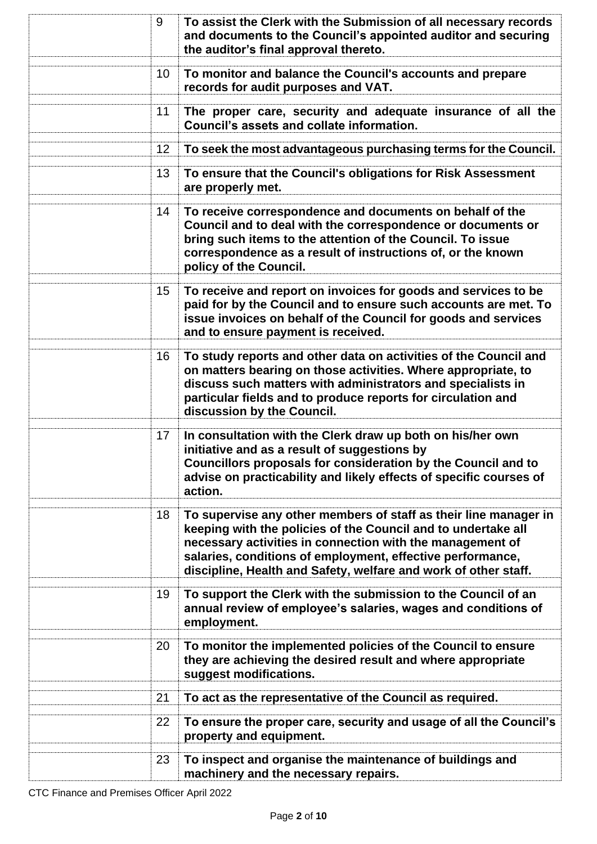| 9  | To assist the Clerk with the Submission of all necessary records<br>and documents to the Council's appointed auditor and securing<br>the auditor's final approval thereto.                                                                                                                                                      |
|----|---------------------------------------------------------------------------------------------------------------------------------------------------------------------------------------------------------------------------------------------------------------------------------------------------------------------------------|
| 10 | To monitor and balance the Council's accounts and prepare<br>records for audit purposes and VAT.                                                                                                                                                                                                                                |
| 11 | The proper care, security and adequate insurance of all the<br>Council's assets and collate information.                                                                                                                                                                                                                        |
| 12 | To seek the most advantageous purchasing terms for the Council.                                                                                                                                                                                                                                                                 |
| 13 | To ensure that the Council's obligations for Risk Assessment<br>are properly met.                                                                                                                                                                                                                                               |
| 14 | To receive correspondence and documents on behalf of the<br>Council and to deal with the correspondence or documents or<br>bring such items to the attention of the Council. To issue<br>correspondence as a result of instructions of, or the known<br>policy of the Council.                                                  |
| 15 | To receive and report on invoices for goods and services to be<br>paid for by the Council and to ensure such accounts are met. To<br>issue invoices on behalf of the Council for goods and services<br>and to ensure payment is received.                                                                                       |
| 16 | To study reports and other data on activities of the Council and<br>on matters bearing on those activities. Where appropriate, to<br>discuss such matters with administrators and specialists in<br>particular fields and to produce reports for circulation and<br>discussion by the Council.                                  |
| 17 | In consultation with the Clerk draw up both on his/her own<br>initiative and as a result of suggestions by<br>Councillors proposals for consideration by the Council and to<br>advise on practicability and likely effects of specific courses of<br>action.                                                                    |
| 18 | To supervise any other members of staff as their line manager in<br>keeping with the policies of the Council and to undertake all<br>necessary activities in connection with the management of<br>salaries, conditions of employment, effective performance,<br>discipline, Health and Safety, welfare and work of other staff. |
| 19 | To support the Clerk with the submission to the Council of an<br>annual review of employee's salaries, wages and conditions of<br>employment.                                                                                                                                                                                   |
| 20 | To monitor the implemented policies of the Council to ensure<br>they are achieving the desired result and where appropriate<br>suggest modifications.                                                                                                                                                                           |
| 21 | To act as the representative of the Council as required.                                                                                                                                                                                                                                                                        |
| 22 | To ensure the proper care, security and usage of all the Council's<br>property and equipment.                                                                                                                                                                                                                                   |
| 23 | To inspect and organise the maintenance of buildings and<br>machinery and the necessary repairs.                                                                                                                                                                                                                                |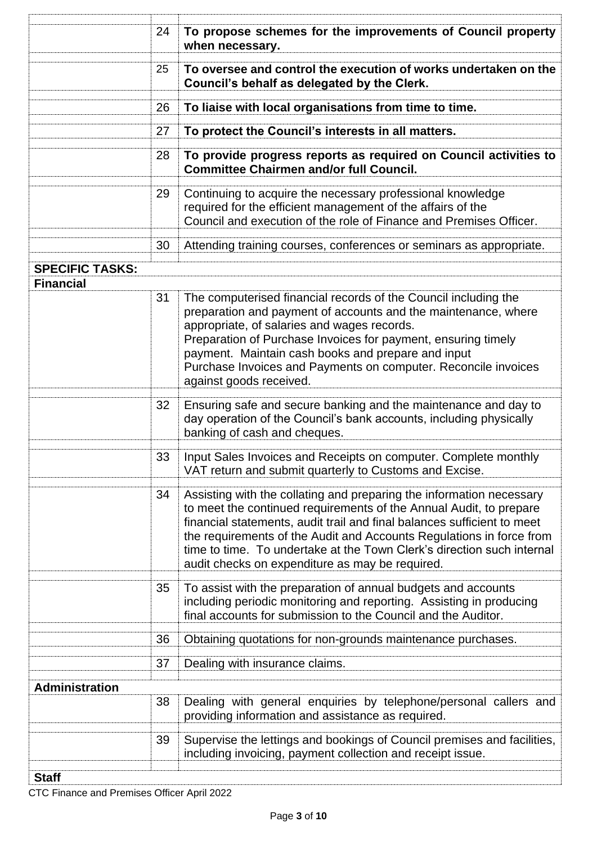|                        | 24 | To propose schemes for the improvements of Council property<br>when necessary.                                                                                                                                                                                                                                                                                                                                             |
|------------------------|----|----------------------------------------------------------------------------------------------------------------------------------------------------------------------------------------------------------------------------------------------------------------------------------------------------------------------------------------------------------------------------------------------------------------------------|
|                        | 25 | To oversee and control the execution of works undertaken on the<br>Council's behalf as delegated by the Clerk.                                                                                                                                                                                                                                                                                                             |
|                        | 26 | To liaise with local organisations from time to time.                                                                                                                                                                                                                                                                                                                                                                      |
|                        | 27 | To protect the Council's interests in all matters.                                                                                                                                                                                                                                                                                                                                                                         |
|                        | 28 | To provide progress reports as required on Council activities to<br><b>Committee Chairmen and/or full Council.</b>                                                                                                                                                                                                                                                                                                         |
|                        | 29 | Continuing to acquire the necessary professional knowledge<br>required for the efficient management of the affairs of the<br>Council and execution of the role of Finance and Premises Officer.                                                                                                                                                                                                                            |
|                        | 30 | Attending training courses, conferences or seminars as appropriate.                                                                                                                                                                                                                                                                                                                                                        |
| <b>SPECIFIC TASKS:</b> |    |                                                                                                                                                                                                                                                                                                                                                                                                                            |
| <b>Financial</b>       | 31 | The computerised financial records of the Council including the<br>preparation and payment of accounts and the maintenance, where<br>appropriate, of salaries and wages records.<br>Preparation of Purchase Invoices for payment, ensuring timely<br>payment. Maintain cash books and prepare and input<br>Purchase Invoices and Payments on computer. Reconcile invoices<br>against goods received.                       |
|                        | 32 | Ensuring safe and secure banking and the maintenance and day to<br>day operation of the Council's bank accounts, including physically<br>banking of cash and cheques.                                                                                                                                                                                                                                                      |
|                        | 33 | Input Sales Invoices and Receipts on computer. Complete monthly<br>VAT return and submit quarterly to Customs and Excise.                                                                                                                                                                                                                                                                                                  |
|                        | 34 | Assisting with the collating and preparing the information necessary<br>to meet the continued requirements of the Annual Audit, to prepare<br>financial statements, audit trail and final balances sufficient to meet<br>the requirements of the Audit and Accounts Regulations in force from<br>time to time. To undertake at the Town Clerk's direction such internal<br>audit checks on expenditure as may be required. |
|                        | 35 | To assist with the preparation of annual budgets and accounts<br>including periodic monitoring and reporting. Assisting in producing<br>final accounts for submission to the Council and the Auditor.                                                                                                                                                                                                                      |
|                        | 36 | Obtaining quotations for non-grounds maintenance purchases.                                                                                                                                                                                                                                                                                                                                                                |
|                        | 37 | Dealing with insurance claims.                                                                                                                                                                                                                                                                                                                                                                                             |
| <b>Administration</b>  |    |                                                                                                                                                                                                                                                                                                                                                                                                                            |
|                        | 38 | Dealing with general enquiries by telephone/personal callers and<br>providing information and assistance as required.                                                                                                                                                                                                                                                                                                      |
|                        | 39 | Supervise the lettings and bookings of Council premises and facilities,<br>including invoicing, payment collection and receipt issue.                                                                                                                                                                                                                                                                                      |
| <b>Staff</b>           |    |                                                                                                                                                                                                                                                                                                                                                                                                                            |

CTC Finance and Premises Officer April 2022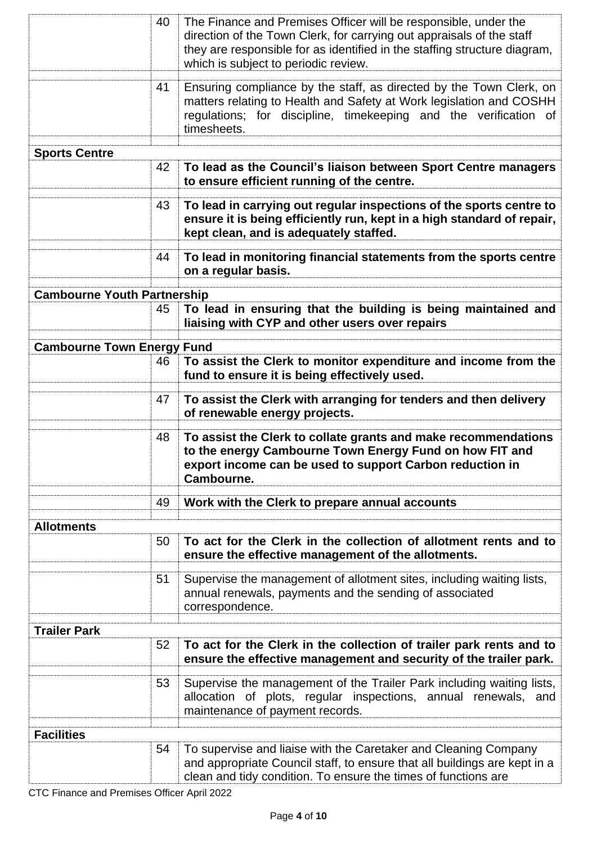|                                    | 40 | The Finance and Premises Officer will be responsible, under the<br>direction of the Town Clerk, for carrying out appraisals of the staff<br>they are responsible for as identified in the staffing structure diagram,<br>which is subject to periodic review. |
|------------------------------------|----|---------------------------------------------------------------------------------------------------------------------------------------------------------------------------------------------------------------------------------------------------------------|
|                                    | 41 | Ensuring compliance by the staff, as directed by the Town Clerk, on<br>matters relating to Health and Safety at Work legislation and COSHH<br>regulations; for discipline, timekeeping and the verification of<br>timesheets.                                 |
| <b>Sports Centre</b>               |    |                                                                                                                                                                                                                                                               |
|                                    | 42 | To lead as the Council's liaison between Sport Centre managers<br>to ensure efficient running of the centre.                                                                                                                                                  |
|                                    | 43 | To lead in carrying out regular inspections of the sports centre to<br>ensure it is being efficiently run, kept in a high standard of repair,<br>kept clean, and is adequately staffed.                                                                       |
|                                    | 44 | To lead in monitoring financial statements from the sports centre<br>on a regular basis.                                                                                                                                                                      |
| <b>Cambourne Youth Partnership</b> |    |                                                                                                                                                                                                                                                               |
|                                    | 45 | To lead in ensuring that the building is being maintained and<br>liaising with CYP and other users over repairs                                                                                                                                               |
| <b>Cambourne Town Energy Fund</b>  |    |                                                                                                                                                                                                                                                               |
|                                    | 46 | To assist the Clerk to monitor expenditure and income from the<br>fund to ensure it is being effectively used.                                                                                                                                                |
|                                    | 47 | To assist the Clerk with arranging for tenders and then delivery<br>of renewable energy projects.                                                                                                                                                             |
|                                    | 48 | To assist the Clerk to collate grants and make recommendations<br>to the energy Cambourne Town Energy Fund on how FIT and<br>export income can be used to support Carbon reduction in<br>Cambourne.                                                           |
|                                    |    |                                                                                                                                                                                                                                                               |
|                                    | 49 | Work with the Clerk to prepare annual accounts                                                                                                                                                                                                                |
| <b>Allotments</b>                  |    |                                                                                                                                                                                                                                                               |
|                                    | 50 | To act for the Clerk in the collection of allotment rents and to<br>ensure the effective management of the allotments.                                                                                                                                        |
|                                    | 51 | Supervise the management of allotment sites, including waiting lists,<br>annual renewals, payments and the sending of associated<br>correspondence.                                                                                                           |
| <b>Trailer Park</b>                |    |                                                                                                                                                                                                                                                               |
|                                    | 52 | To act for the Clerk in the collection of trailer park rents and to<br>ensure the effective management and security of the trailer park.                                                                                                                      |
|                                    | 53 | Supervise the management of the Trailer Park including waiting lists,<br>allocation of plots, regular inspections, annual renewals, and<br>maintenance of payment records.                                                                                    |
| <b>Facilities</b>                  |    |                                                                                                                                                                                                                                                               |
|                                    | 54 | To supervise and liaise with the Caretaker and Cleaning Company<br>and appropriate Council staff, to ensure that all buildings are kept in a<br>clean and tidy condition. To ensure the times of functions are                                                |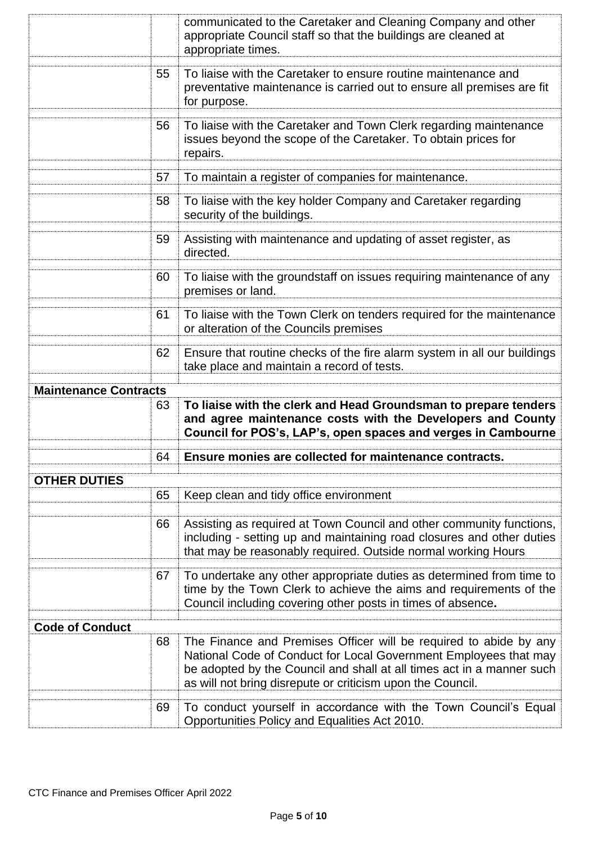|                              |    | communicated to the Caretaker and Cleaning Company and other<br>appropriate Council staff so that the buildings are cleaned at<br>appropriate times.                                                                                                                         |
|------------------------------|----|------------------------------------------------------------------------------------------------------------------------------------------------------------------------------------------------------------------------------------------------------------------------------|
|                              | 55 | To liaise with the Caretaker to ensure routine maintenance and<br>preventative maintenance is carried out to ensure all premises are fit<br>for purpose.                                                                                                                     |
|                              | 56 | To liaise with the Caretaker and Town Clerk regarding maintenance<br>issues beyond the scope of the Caretaker. To obtain prices for<br>repairs.                                                                                                                              |
|                              | 57 | To maintain a register of companies for maintenance.                                                                                                                                                                                                                         |
|                              | 58 | To liaise with the key holder Company and Caretaker regarding<br>security of the buildings.                                                                                                                                                                                  |
|                              | 59 | Assisting with maintenance and updating of asset register, as<br>directed.                                                                                                                                                                                                   |
|                              | 60 | To liaise with the groundstaff on issues requiring maintenance of any<br>premises or land.                                                                                                                                                                                   |
|                              | 61 | To liaise with the Town Clerk on tenders required for the maintenance<br>or alteration of the Councils premises                                                                                                                                                              |
|                              | 62 | Ensure that routine checks of the fire alarm system in all our buildings<br>take place and maintain a record of tests.                                                                                                                                                       |
|                              |    |                                                                                                                                                                                                                                                                              |
| <b>Maintenance Contracts</b> |    |                                                                                                                                                                                                                                                                              |
|                              | 63 | To liaise with the clerk and Head Groundsman to prepare tenders<br>and agree maintenance costs with the Developers and County<br>Council for POS's, LAP's, open spaces and verges in Cambourne                                                                               |
|                              | 64 | Ensure monies are collected for maintenance contracts.                                                                                                                                                                                                                       |
|                              |    |                                                                                                                                                                                                                                                                              |
| <b>OTHER DUTIES</b>          | 65 | Keep clean and tidy office environment                                                                                                                                                                                                                                       |
|                              | 66 | Assisting as required at Town Council and other community functions,<br>including - setting up and maintaining road closures and other duties<br>that may be reasonably required. Outside normal working Hours                                                               |
|                              | 67 | To undertake any other appropriate duties as determined from time to<br>time by the Town Clerk to achieve the aims and requirements of the<br>Council including covering other posts in times of absence.                                                                    |
| <b>Code of Conduct</b>       |    |                                                                                                                                                                                                                                                                              |
|                              | 68 | The Finance and Premises Officer will be required to abide by any<br>National Code of Conduct for Local Government Employees that may<br>be adopted by the Council and shall at all times act in a manner such<br>as will not bring disrepute or criticism upon the Council. |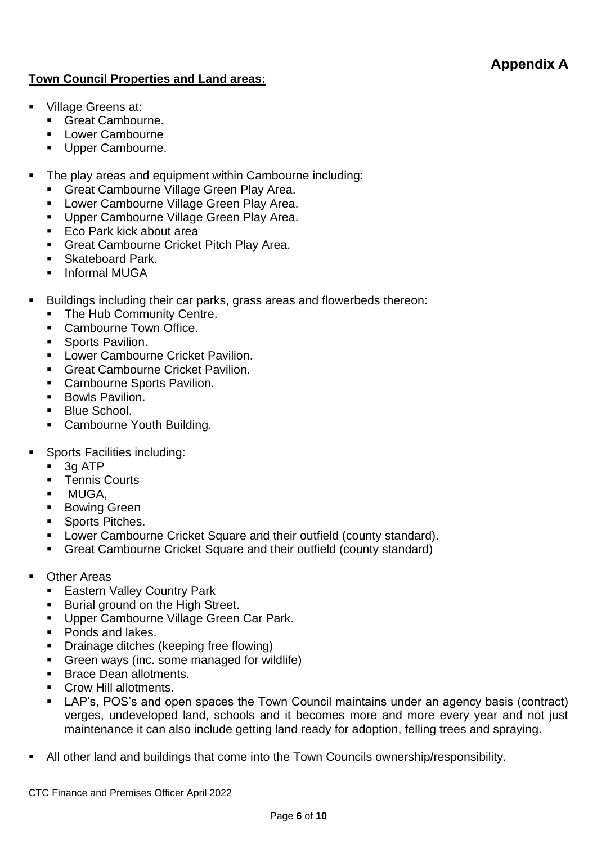#### **Appendix A**

#### **Town Council Properties and Land areas:**

- Village Greens at:
	- Great Cambourne.
	- Lower Cambourne
	- **■** Upper Cambourne.
- The play areas and equipment within Cambourne including:
	- **EXEC** Great Cambourne Village Green Play Area.
	- Lower Cambourne Village Green Play Area.
	- **Upper Cambourne Village Green Play Area.**
	- Eco Park kick about area
	- Great Cambourne Cricket Pitch Play Area.
	- **E** Skateboard Park.
	- Informal MUGA
- Buildings including their car parks, grass areas and flowerbeds thereon:
	- The Hub Community Centre.
	- Cambourne Town Office.
	- **•** Sports Pavilion.
	- Lower Cambourne Cricket Pavilion.
	- **Great Cambourne Cricket Pavilion.**
	- Cambourne Sports Pavilion.
	- **Bowls Pavilion.**
	- Blue School.
	- Cambourne Youth Building.
- Sports Facilities including:
	- 3g ATP
	- Tennis Courts
	- MUGA.
	- **Bowing Green**
	- Sports Pitches.
	- Lower Cambourne Cricket Square and their outfield (county standard).
	- **EXEC** Great Cambourne Cricket Square and their outfield (county standard)
- **Other Areas** 
	- Eastern Valley Country Park
	- Burial ground on the High Street.
	- Upper Cambourne Village Green Car Park.
	- Ponds and lakes.
	- **•** Drainage ditches (keeping free flowing)
	- **Green ways (inc. some managed for wildlife)**
	- **Brace Dean allotments.**
	- Crow Hill allotments.
	- LAP's, POS's and open spaces the Town Council maintains under an agency basis (contract) verges, undeveloped land, schools and it becomes more and more every year and not just maintenance it can also include getting land ready for adoption, felling trees and spraying.
- All other land and buildings that come into the Town Councils ownership/responsibility.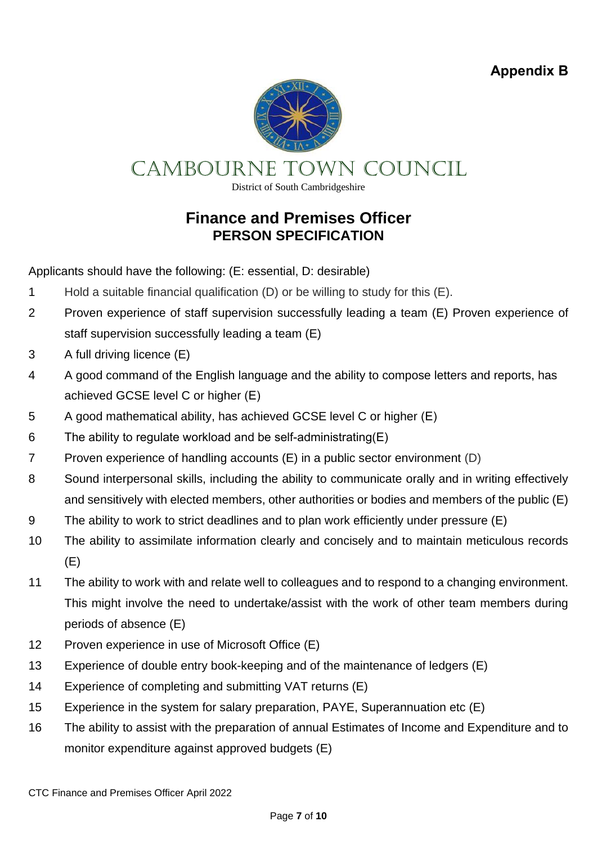**Appendix B**



CAMBOURNE TOWN COUNCIL

District of South Cambridgeshire

#### **Finance and Premises Officer PERSON SPECIFICATION**

Applicants should have the following: (E: essential, D: desirable)

- 1 Hold a suitable financial qualification (D) or be willing to study for this (E).
- 2 Proven experience of staff supervision successfully leading a team (E) Proven experience of staff supervision successfully leading a team (E)
- 3 A full driving licence (E)
- 4 A good command of the English language and the ability to compose letters and reports, has achieved GCSE level C or higher (E)
- 5 A good mathematical ability, has achieved GCSE level C or higher (E)
- 6 The ability to regulate workload and be self-administrating(E)
- 7 Proven experience of handling accounts (E) in a public sector environment (D)
- 8 Sound interpersonal skills, including the ability to communicate orally and in writing effectively and sensitively with elected members, other authorities or bodies and members of the public (E)
- 9 The ability to work to strict deadlines and to plan work efficiently under pressure (E)
- 10 The ability to assimilate information clearly and concisely and to maintain meticulous records (E)
- 11 The ability to work with and relate well to colleagues and to respond to a changing environment. This might involve the need to undertake/assist with the work of other team members during periods of absence (E)
- 12 Proven experience in use of Microsoft Office (E)
- 13 Experience of double entry book-keeping and of the maintenance of ledgers (E)
- 14 Experience of completing and submitting VAT returns (E)
- 15 Experience in the system for salary preparation, PAYE, Superannuation etc (E)
- 16 The ability to assist with the preparation of annual Estimates of Income and Expenditure and to monitor expenditure against approved budgets (E)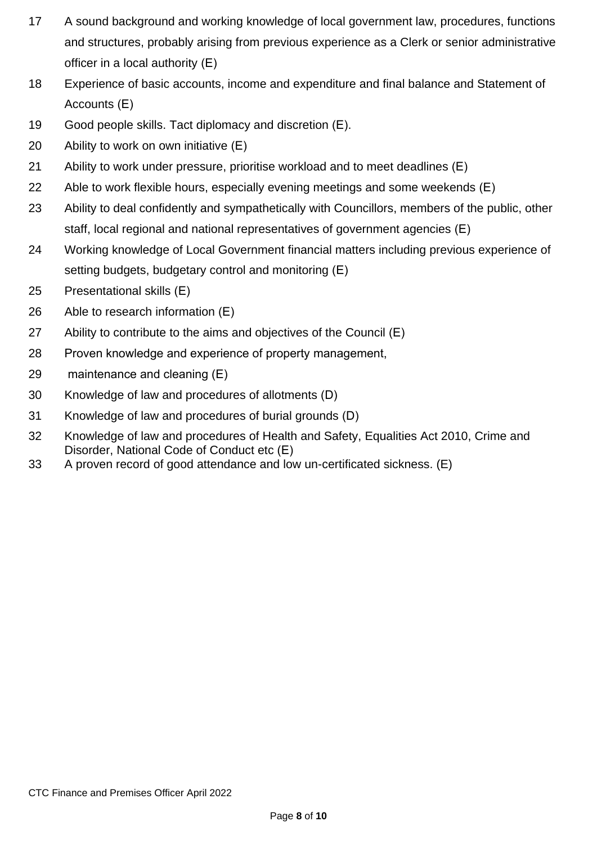- A sound background and working knowledge of local government law, procedures, functions and structures, probably arising from previous experience as a Clerk or senior administrative officer in a local authority (E)
- Experience of basic accounts, income and expenditure and final balance and Statement of Accounts (E)
- Good people skills. Tact diplomacy and discretion (E).
- Ability to work on own initiative (E)
- Ability to work under pressure, prioritise workload and to meet deadlines (E)
- Able to work flexible hours, especially evening meetings and some weekends (E)
- Ability to deal confidently and sympathetically with Councillors, members of the public, other staff, local regional and national representatives of government agencies (E)
- Working knowledge of Local Government financial matters including previous experience of setting budgets, budgetary control and monitoring (E)
- Presentational skills (E)
- Able to research information (E)
- Ability to contribute to the aims and objectives of the Council (E)
- Proven knowledge and experience of property management,
- maintenance and cleaning (E)
- Knowledge of law and procedures of allotments (D)
- Knowledge of law and procedures of burial grounds (D)
- Knowledge of law and procedures of Health and Safety, Equalities Act 2010, Crime and Disorder, National Code of Conduct etc (E)
- A proven record of good attendance and low un-certificated sickness. (E)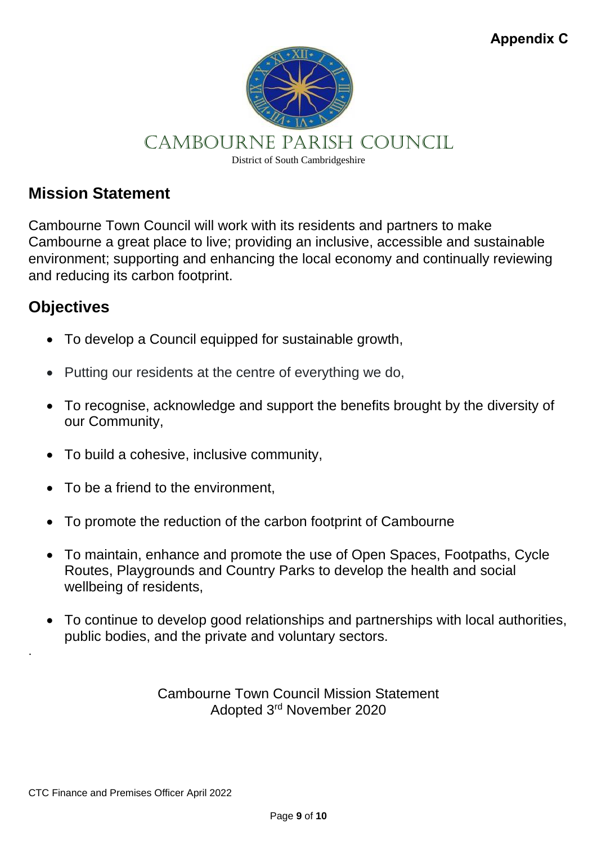

## CAMBOURNE PARISH COUNCIL

District of South Cambridgeshire

### **Mission Statement**

Cambourne Town Council will work with its residents and partners to make Cambourne a great place to live; providing an inclusive, accessible and sustainable environment; supporting and enhancing the local economy and continually reviewing and reducing its carbon footprint.

### **Objectives**

.

- To develop a Council equipped for sustainable growth,
- Putting our residents at the centre of everything we do,
- To recognise, acknowledge and support the benefits brought by the diversity of our Community,
- To build a cohesive, inclusive community,
- To be a friend to the environment.
- To promote the reduction of the carbon footprint of Cambourne
- To maintain, enhance and promote the use of Open Spaces, Footpaths, Cycle Routes, Playgrounds and Country Parks to develop the health and social wellbeing of residents,
- To continue to develop good relationships and partnerships with local authorities, public bodies, and the private and voluntary sectors.

Cambourne Town Council Mission Statement Adopted 3rd November 2020